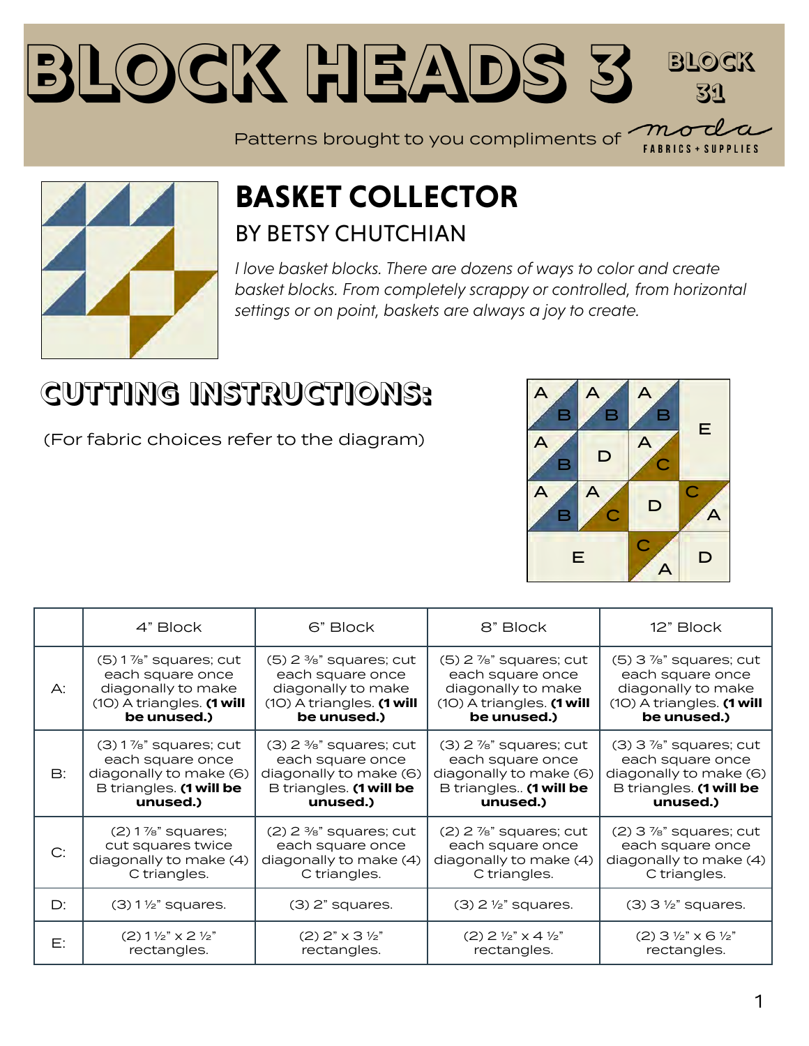#### **Block Heads [3](https://modafabrics.com) Block 31**

Patterns brought to you compliments of  $\begin{array}{c} \mathcal{M} \end{array}$ **FABRICS + SUPPLIES** 



#### **BASKET COLLECTOR** BY BETSY CHUTCHIAN

*I love basket blocks. There are dozens of ways to color and create basket blocks. From completely scrappy or controlled, from horizontal settings or on point, baskets are always a joy to create.*

### **CUTTING INSTRUCTIONS:**

(For fabric choices refer to the diagram)



|    | 4" Block                         | 6" Block                             | 8" Block                                    | 12" Block                            |
|----|----------------------------------|--------------------------------------|---------------------------------------------|--------------------------------------|
| А: | $(5)$ 1%" squares; cut           | $(5)$ 2 $\frac{3}{8}$ " squares; cut | $(5)$ 2 $\frac{7}{8}$ " squares; cut        | $(5)$ 3 $\%$ " squares; cut          |
|    | each square once                 | each square once                     | each square once                            | each square once                     |
|    | diagonally to make               | diagonally to make                   | diagonally to make                          | diagonally to make                   |
|    | $(1O)$ A triangles. $(1$ will    | $(1O)$ A triangles. $(1$ will        | $(1O)$ A triangles. $(1$ will               | (10) A triangles. (1 will            |
|    | be unused.)                      | be unused.)                          | be unused.)                                 | be unused.)                          |
| B: | $(3)$ 1%" squares; cut           | $(3)$ 2 $\frac{3}{8}$ " squares; cut | $(3)$ 2 $\frac{7}{8}$ " squares; cut        | $(3)$ 3 $\frac{7}{8}$ " squares; cut |
|    | each square once                 | each square once                     | each square once                            | each square once                     |
|    | diagonally to make (6)           | diagonally to make (6)               | diagonally to make (6)                      | diagonally to make (6)               |
|    | B triangles. (1 will be          | B triangles. (1 will be              | B triangles (1 will be                      | B triangles. (1 will be              |
|    | unused.)                         | unused.)                             | unused.)                                    | unused.)                             |
| C: | $(2)$ 1 %" squares;              | $(2)$ 2 $\frac{3}{8}$ " squares; cut | $(2)$ 2 $\frac{7}{8}$ " squares; cut        | $(2)$ 3 $\frac{7}{8}$ " squares; cut |
|    | cut squares twice                | each square once                     | each square once                            | each square once                     |
|    | diagonally to make (4)           | diagonally to make (4)               | diagonally to make (4)                      | diagonally to make (4)               |
|    | C triangles.                     | C triangles.                         | C triangles.                                | C triangles.                         |
| D: | $(3)$ 1 $\frac{1}{2}$ " squares. | $(3)$ $2"$ squares.                  | $(3)$ 2 $\frac{1}{2}$ " squares.            | $(3)$ 3 $\frac{1}{2}$ " squares.     |
| Е: | $(2)$ 1 1/2" $\times$ 2 1/2"     | $(2)$ 2" $\times$ 3 $\frac{1}{2}$ "  | $(2)$ 2 $\frac{1}{2}$ " x 4 $\frac{1}{2}$ " | $(2)$ 3 1/2" $\times$ 6 1/2"         |
|    | rectangles.                      | rectangles.                          | rectangles.                                 | rectangles.                          |